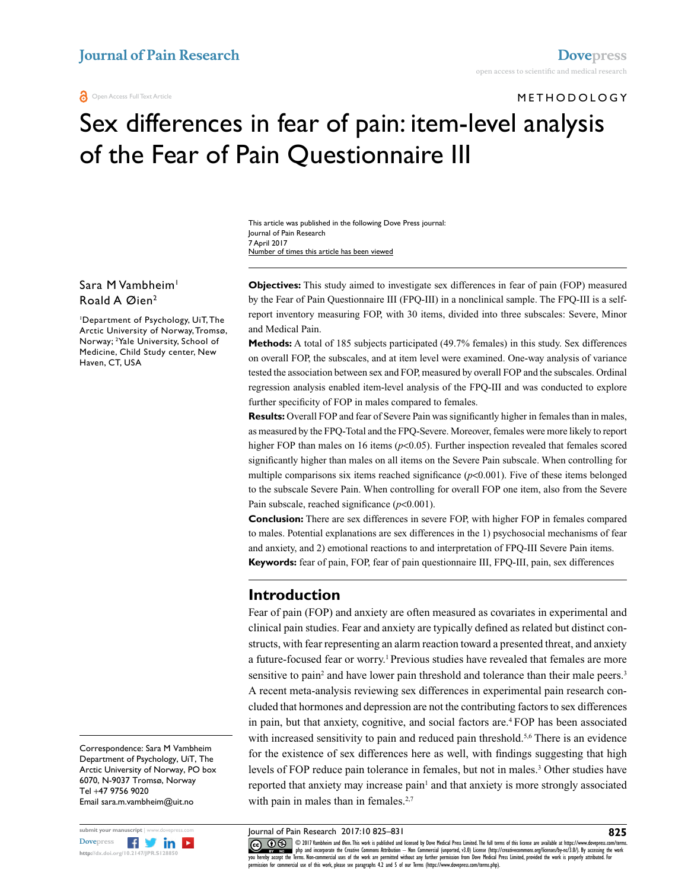METHODOLOGY

# Sex differences in fear of pain: item-level analysis of the Fear of Pain Questionnaire III

This article was published in the following Dove Press journal: Journal of Pain Research 7 April 2017 Number of times this article has been viewed

Sara M Vambheim<sup>1</sup> Roald A Øien2

1 Department of Psychology, UiT, The Arctic University of Norway, Tromsø, Norway; 2 Yale University, School of Medicine, Child Study center, New Haven, CT, USA

**Objectives:** This study aimed to investigate sex differences in fear of pain (FOP) measured by the Fear of Pain Questionnaire III (FPQ-III) in a nonclinical sample. The FPQ-III is a selfreport inventory measuring FOP, with 30 items, divided into three subscales: Severe, Minor and Medical Pain.

**Methods:** A total of 185 subjects participated (49.7% females) in this study. Sex differences on overall FOP, the subscales, and at item level were examined. One-way analysis of variance tested the association between sex and FOP, measured by overall FOP and the subscales. Ordinal regression analysis enabled item-level analysis of the FPQ-III and was conducted to explore further specificity of FOP in males compared to females.

**Results:** Overall FOP and fear of Severe Pain was significantly higher in females than in males, as measured by the FPQ-Total and the FPQ-Severe. Moreover, females were more likely to report higher FOP than males on 16 items ( $p$ <0.05). Further inspection revealed that females scored significantly higher than males on all items on the Severe Pain subscale. When controlling for multiple comparisons six items reached significance  $(p<0.001)$ . Five of these items belonged to the subscale Severe Pain. When controlling for overall FOP one item, also from the Severe Pain subscale, reached significance (*p*<0.001).

**Conclusion:** There are sex differences in severe FOP, with higher FOP in females compared to males. Potential explanations are sex differences in the 1) psychosocial mechanisms of fear and anxiety, and 2) emotional reactions to and interpretation of FPQ-III Severe Pain items. **Keywords:** fear of pain, FOP, fear of pain questionnaire III, FPQ-III, pain, sex differences

# **Introduction**

Fear of pain (FOP) and anxiety are often measured as covariates in experimental and clinical pain studies. Fear and anxiety are typically defined as related but distinct constructs, with fear representing an alarm reaction toward a presented threat, and anxiety a future-focused fear or worry.<sup>1</sup> Previous studies have revealed that females are more sensitive to pain<sup>2</sup> and have lower pain threshold and tolerance than their male peers.<sup>3</sup> A recent meta-analysis reviewing sex differences in experimental pain research concluded that hormones and depression are not the contributing factors to sex differences in pain, but that anxiety, cognitive, and social factors are.<sup>4</sup> FOP has been associated with increased sensitivity to pain and reduced pain threshold.<sup>5,6</sup> There is an evidence for the existence of sex differences here as well, with findings suggesting that high levels of FOP reduce pain tolerance in females, but not in males.<sup>3</sup> Other studies have reported that anxiety may increase pain<sup>1</sup> and that anxiety is more strongly associated with pain in males than in females.<sup>2,7</sup>

Correspondence: Sara M Vambheim Department of Psychology, UiT, The Arctic University of Norway, PO box 6070, N-9037 Tromsø, Norway Tel +47 9756 9020 Email sara.m.vambheim@uit.no



Journal of Pain Research 2017:10 825–831

CC **CC**  $\bullet$  © 2017 Vambheim and Øien. This work is published and licensed by Dove Medical Press Limited. The full terms of this license are available at https://www.dovepress.com/terms www.com php and incorporate the Creative Commons Attribution — Non Commercial (unported, v3.0) License (http://creativecommons.org/licenses/by-nc/3.0/). By accessing the work<br>[you hereby accept the T](http://www.dovepress.com/permissions.php)erms. Non-commercial use permission for commercial use of this work, please see paragraphs 4.2 and 5 of our Terms (https://www.dovepress.com/terms.php).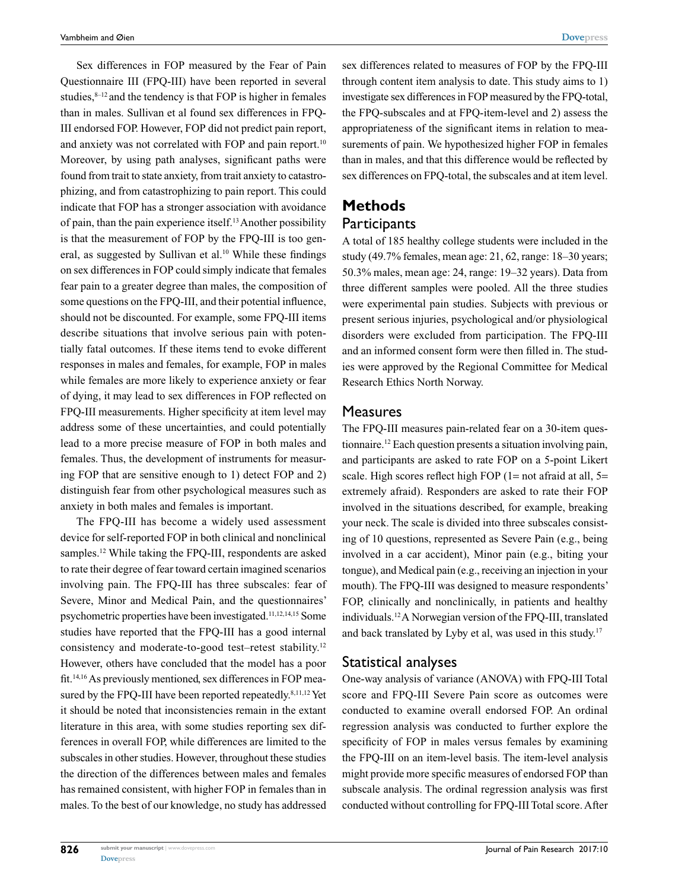Sex differences in FOP measured by the Fear of Pain Questionnaire III (FPQ-III) have been reported in several studies, $8-12$  and the tendency is that FOP is higher in females than in males. Sullivan et al found sex differences in FPQ-III endorsed FOP. However, FOP did not predict pain report, and anxiety was not correlated with FOP and pain report.<sup>10</sup> Moreover, by using path analyses, significant paths were found from trait to state anxiety, from trait anxiety to catastrophizing, and from catastrophizing to pain report. This could indicate that FOP has a stronger association with avoidance of pain, than the pain experience itself.13 Another possibility is that the measurement of FOP by the FPQ-III is too general, as suggested by Sullivan et al.<sup>10</sup> While these findings on sex differences in FOP could simply indicate that females fear pain to a greater degree than males, the composition of some questions on the FPQ-III, and their potential influence, should not be discounted. For example, some FPQ-III items describe situations that involve serious pain with potentially fatal outcomes. If these items tend to evoke different responses in males and females, for example, FOP in males while females are more likely to experience anxiety or fear of dying, it may lead to sex differences in FOP reflected on FPQ-III measurements. Higher specificity at item level may address some of these uncertainties, and could potentially lead to a more precise measure of FOP in both males and females. Thus, the development of instruments for measuring FOP that are sensitive enough to 1) detect FOP and 2) distinguish fear from other psychological measures such as anxiety in both males and females is important.

The FPQ-III has become a widely used assessment device for self-reported FOP in both clinical and nonclinical samples.<sup>12</sup> While taking the FPQ-III, respondents are asked to rate their degree of fear toward certain imagined scenarios involving pain. The FPQ-III has three subscales: fear of Severe, Minor and Medical Pain, and the questionnaires' psychometric properties have been investigated.11,12,14,15 Some studies have reported that the FPQ-III has a good internal consistency and moderate-to-good test–retest stability.12 However, others have concluded that the model has a poor fit.14,16 As previously mentioned, sex differences in FOP measured by the FPQ-III have been reported repeatedly.<sup>8,11,12</sup> Yet it should be noted that inconsistencies remain in the extant literature in this area, with some studies reporting sex differences in overall FOP, while differences are limited to the subscales in other studies. However, throughout these studies the direction of the differences between males and females has remained consistent, with higher FOP in females than in males. To the best of our knowledge, no study has addressed sex differences related to measures of FOP by the FPQ-III through content item analysis to date. This study aims to 1) investigate sex differences in FOP measured by the FPQ-total, the FPQ-subscales and at FPQ-item-level and 2) assess the appropriateness of the significant items in relation to measurements of pain. We hypothesized higher FOP in females than in males, and that this difference would be reflected by sex differences on FPQ-total, the subscales and at item level.

# **Methods**

## **Participants**

A total of 185 healthy college students were included in the study (49.7% females, mean age: 21, 62, range: 18–30 years; 50.3% males, mean age: 24, range: 19–32 years). Data from three different samples were pooled. All the three studies were experimental pain studies. Subjects with previous or present serious injuries, psychological and/or physiological disorders were excluded from participation. The FPQ-III and an informed consent form were then filled in. The studies were approved by the Regional Committee for Medical Research Ethics North Norway.

## **Measures**

The FPQ-III measures pain-related fear on a 30-item questionnaire.12 Each question presents a situation involving pain, and participants are asked to rate FOP on a 5-point Likert scale. High scores reflect high FOP  $(1=$  not afraid at all,  $5=$ extremely afraid). Responders are asked to rate their FOP involved in the situations described, for example, breaking your neck. The scale is divided into three subscales consisting of 10 questions, represented as Severe Pain (e.g., being involved in a car accident), Minor pain (e.g., biting your tongue), and Medical pain (e.g., receiving an injection in your mouth). The FPQ-III was designed to measure respondents' FOP, clinically and nonclinically, in patients and healthy individuals.12 A Norwegian version of the FPQ-III, translated and back translated by Lyby et al, was used in this study.17

## Statistical analyses

One-way analysis of variance (ANOVA) with FPQ-III Total score and FPQ-III Severe Pain score as outcomes were conducted to examine overall endorsed FOP. An ordinal regression analysis was conducted to further explore the specificity of FOP in males versus females by examining the FPQ-III on an item-level basis. The item-level analysis might provide more specific measures of endorsed FOP than subscale analysis. The ordinal regression analysis was first conducted without controlling for FPQ-III Total score. After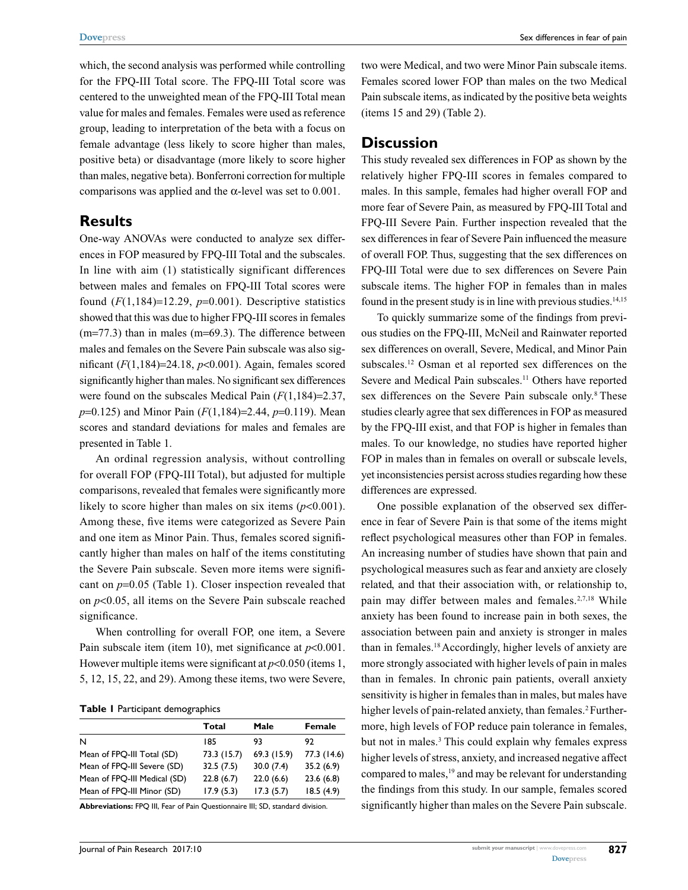which, the second analysis was performed while controlling for the FPQ-III Total score. The FPQ-III Total score was centered to the unweighted mean of the FPQ-III Total mean value for males and females. Females were used as reference group, leading to interpretation of the beta with a focus on female advantage (less likely to score higher than males, positive beta) or disadvantage (more likely to score higher than males, negative beta). Bonferroni correction for multiple comparisons was applied and the  $\alpha$ -level was set to 0.001.

# **Results**

One-way ANOVAs were conducted to analyze sex differences in FOP measured by FPQ-III Total and the subscales. In line with aim (1) statistically significant differences between males and females on FPQ-III Total scores were found  $(F(1,184)=12.29, p=0.001)$ . Descriptive statistics showed that this was due to higher FPQ-III scores in females (m=77.3) than in males (m=69.3). The difference between males and females on the Severe Pain subscale was also significant (*F*(1,184)=24.18, *p*<0.001). Again, females scored significantly higher than males. No significant sex differences were found on the subscales Medical Pain (*F*(1,184)=2.37, *p*=0.125) and Minor Pain (*F*(1,184)=2.44, *p*=0.119). Mean scores and standard deviations for males and females are presented in Table 1.

An ordinal regression analysis, without controlling for overall FOP (FPQ-III Total), but adjusted for multiple comparisons, revealed that females were significantly more likely to score higher than males on six items (*p*<0.001). Among these, five items were categorized as Severe Pain and one item as Minor Pain. Thus, females scored significantly higher than males on half of the items constituting the Severe Pain subscale. Seven more items were significant on *p*=0.05 (Table 1). Closer inspection revealed that on *p*<0.05, all items on the Severe Pain subscale reached significance.

When controlling for overall FOP, one item, a Severe Pain subscale item (item 10), met significance at *p*<0.001. However multiple items were significant at *p*<0.050 (items 1, 5, 12, 15, 22, and 29). Among these items, two were Severe,

|  |  |  | Table I Participant demographics |
|--|--|--|----------------------------------|
|--|--|--|----------------------------------|

|                              | Total       | Male        | <b>Female</b> |
|------------------------------|-------------|-------------|---------------|
| N                            | 185         | 93          | 97            |
| Mean of FPQ-III Total (SD)   | 73.3 (15.7) | 69.3 (15.9) | 77.3 (14.6)   |
| Mean of FPQ-III Severe (SD)  | 32.5(7.5)   | 30.0(7.4)   | 35.2(6.9)     |
| Mean of FPQ-III Medical (SD) | 22.8(6.7)   | 22.0(6.6)   | 23.6(6.8)     |
| Mean of FPQ-III Minor (SD)   | 17.9(5.3)   | 17.3(5.7)   | 18.5(4.9)     |
|                              |             |             |               |

**Abbreviations:** FPQ III, Fear of Pain Questionnaire III; SD, standard division.

two were Medical, and two were Minor Pain subscale items. Females scored lower FOP than males on the two Medical Pain subscale items, as indicated by the positive beta weights (items 15 and 29) (Table 2).

## **Discussion**

This study revealed sex differences in FOP as shown by the relatively higher FPQ-III scores in females compared to males. In this sample, females had higher overall FOP and more fear of Severe Pain, as measured by FPQ-III Total and FPQ-III Severe Pain. Further inspection revealed that the sex differences in fear of Severe Pain influenced the measure of overall FOP. Thus, suggesting that the sex differences on FPQ-III Total were due to sex differences on Severe Pain subscale items. The higher FOP in females than in males found in the present study is in line with previous studies.<sup>14,15</sup>

To quickly summarize some of the findings from previous studies on the FPQ-III, McNeil and Rainwater reported sex differences on overall, Severe, Medical, and Minor Pain subscales.12 Osman et al reported sex differences on the Severe and Medical Pain subscales.<sup>11</sup> Others have reported sex differences on the Severe Pain subscale only.<sup>8</sup> These studies clearly agree that sex differences in FOP as measured by the FPQ-III exist, and that FOP is higher in females than males. To our knowledge, no studies have reported higher FOP in males than in females on overall or subscale levels, yet inconsistencies persist across studies regarding how these differences are expressed.

One possible explanation of the observed sex difference in fear of Severe Pain is that some of the items might reflect psychological measures other than FOP in females. An increasing number of studies have shown that pain and psychological measures such as fear and anxiety are closely related, and that their association with, or relationship to, pain may differ between males and females.<sup>2,7,18</sup> While anxiety has been found to increase pain in both sexes, the association between pain and anxiety is stronger in males than in females.18 Accordingly, higher levels of anxiety are more strongly associated with higher levels of pain in males than in females. In chronic pain patients, overall anxiety sensitivity is higher in females than in males, but males have higher levels of pain-related anxiety, than females.<sup>2</sup> Furthermore, high levels of FOP reduce pain tolerance in females, but not in males.3 This could explain why females express higher levels of stress, anxiety, and increased negative affect compared to males,<sup>19</sup> and may be relevant for understanding the findings from this study. In our sample, females scored significantly higher than males on the Severe Pain subscale.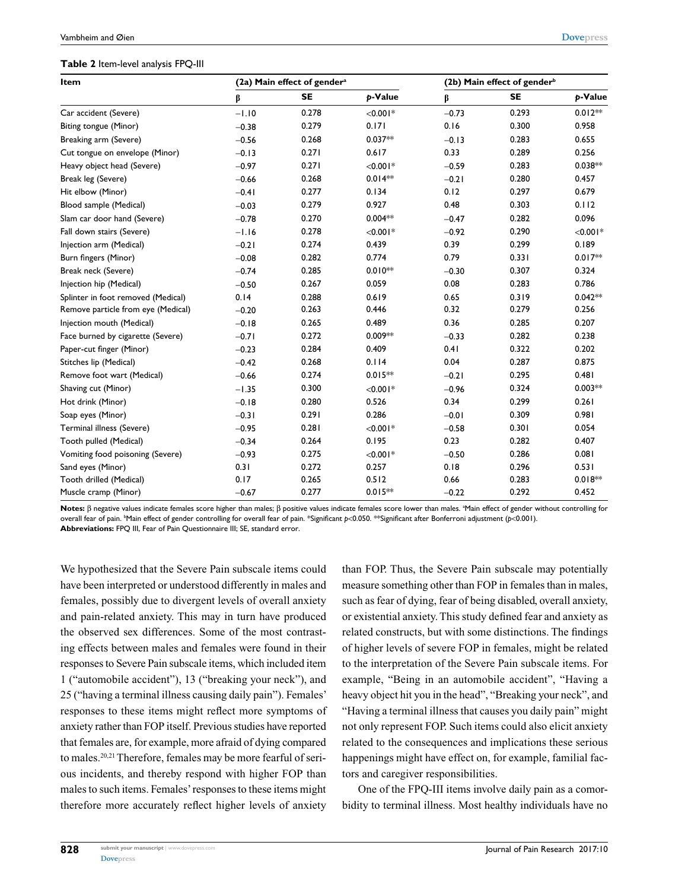#### **Table 2** Item-level analysis FPQ-III

| Item                               | (2a) Main effect of gender <sup>a</sup> |           |            | (2b) Main effect of gender <sup>b</sup> |           |            |
|------------------------------------|-----------------------------------------|-----------|------------|-----------------------------------------|-----------|------------|
|                                    | β                                       | <b>SE</b> | p-Value    | β                                       | <b>SE</b> | p-Value    |
| Car accident (Severe)              | $-1.10$                                 | 0.278     | $< 0.001*$ | $-0.73$                                 | 0.293     | $0.012**$  |
| Biting tongue (Minor)              | $-0.38$                                 | 0.279     | 0.171      | 0.16                                    | 0.300     | 0.958      |
| Breaking arm (Severe)              | $-0.56$                                 | 0.268     | $0.037**$  | $-0.13$                                 | 0.283     | 0.655      |
| Cut tongue on envelope (Minor)     | $-0.13$                                 | 0.271     | 0.617      | 0.33                                    | 0.289     | 0.256      |
| Heavy object head (Severe)         | $-0.97$                                 | 0.271     | $< 0.001*$ | $-0.59$                                 | 0.283     | $0.038**$  |
| Break leg (Severe)                 | $-0.66$                                 | 0.268     | $0.014**$  | $-0.21$                                 | 0.280     | 0.457      |
| Hit elbow (Minor)                  | $-0.41$                                 | 0.277     | 0.134      | 0.12                                    | 0.297     | 0.679      |
| Blood sample (Medical)             | $-0.03$                                 | 0.279     | 0.927      | 0.48                                    | 0.303     | 0.112      |
| Slam car door hand (Severe)        | $-0.78$                                 | 0.270     | $0.004**$  | $-0.47$                                 | 0.282     | 0.096      |
| Fall down stairs (Severe)          | $-1.16$                                 | 0.278     | $< 0.001*$ | $-0.92$                                 | 0.290     | $< 0.001*$ |
| Injection arm (Medical)            | $-0.21$                                 | 0.274     | 0.439      | 0.39                                    | 0.299     | 0.189      |
| Burn fingers (Minor)               | $-0.08$                                 | 0.282     | 0.774      | 0.79                                    | 0.331     | $0.017**$  |
| Break neck (Severe)                | $-0.74$                                 | 0.285     | $0.010**$  | $-0.30$                                 | 0.307     | 0.324      |
| Injection hip (Medical)            | $-0.50$                                 | 0.267     | 0.059      | 0.08                                    | 0.283     | 0.786      |
| Splinter in foot removed (Medical) | 0.14                                    | 0.288     | 0.619      | 0.65                                    | 0.319     | $0.042**$  |
| Remove particle from eye (Medical) | $-0.20$                                 | 0.263     | 0.446      | 0.32                                    | 0.279     | 0.256      |
| Injection mouth (Medical)          | $-0.18$                                 | 0.265     | 0.489      | 0.36                                    | 0.285     | 0.207      |
| Face burned by cigarette (Severe)  | $-0.71$                                 | 0.272     | $0.009**$  | $-0.33$                                 | 0.282     | 0.238      |
| Paper-cut finger (Minor)           | $-0.23$                                 | 0.284     | 0.409      | 0.41                                    | 0.322     | 0.202      |
| Stitches lip (Medical)             | $-0.42$                                 | 0.268     | 0.114      | 0.04                                    | 0.287     | 0.875      |
| Remove foot wart (Medical)         | $-0.66$                                 | 0.274     | $0.015**$  | $-0.21$                                 | 0.295     | 0.481      |
| Shaving cut (Minor)                | $-1.35$                                 | 0.300     | $< 0.001*$ | $-0.96$                                 | 0.324     | $0.003**$  |
| Hot drink (Minor)                  | $-0.18$                                 | 0.280     | 0.526      | 0.34                                    | 0.299     | 0.261      |
| Soap eyes (Minor)                  | $-0.31$                                 | 0.291     | 0.286      | $-0.01$                                 | 0.309     | 0.981      |
| Terminal illness (Severe)          | $-0.95$                                 | 0.281     | $< 0.001*$ | $-0.58$                                 | 0.301     | 0.054      |
| Tooth pulled (Medical)             | $-0.34$                                 | 0.264     | 0.195      | 0.23                                    | 0.282     | 0.407      |
| Vomiting food poisoning (Severe)   | $-0.93$                                 | 0.275     | $< 0.001*$ | $-0.50$                                 | 0.286     | 0.081      |
| Sand eyes (Minor)                  | 0.31                                    | 0.272     | 0.257      | 0.18                                    | 0.296     | 0.531      |
| Tooth drilled (Medical)            | 0.17                                    | 0.265     | 0.512      | 0.66                                    | 0.283     | $0.018**$  |
| Muscle cramp (Minor)               | $-0.67$                                 | 0.277     | $0.015**$  | $-0.22$                                 | 0.292     | 0.452      |

Notes: β negative values indicate females score higher than males; β positive values indicate females score lower than males. <sup>a</sup>Main effect of gender without controlling for overall fear of pain. b Main effect of gender controlling for overall fear of pain. \*Significant *p*<0.050. \*\*Significant after Bonferroni adjustment (*p*<0.001). **Abbreviations:** FPQ III, Fear of Pain Questionnaire III; SE, standard error.

We hypothesized that the Severe Pain subscale items could have been interpreted or understood differently in males and females, possibly due to divergent levels of overall anxiety and pain-related anxiety. This may in turn have produced the observed sex differences. Some of the most contrasting effects between males and females were found in their responses to Severe Pain subscale items, which included item 1 ("automobile accident"), 13 ("breaking your neck"), and 25 ("having a terminal illness causing daily pain"). Females' responses to these items might reflect more symptoms of anxiety rather than FOP itself. Previous studies have reported that females are, for example, more afraid of dying compared to males.20,21 Therefore, females may be more fearful of serious incidents, and thereby respond with higher FOP than males to such items. Females' responses to these items might therefore more accurately reflect higher levels of anxiety than FOP. Thus, the Severe Pain subscale may potentially measure something other than FOP in females than in males, such as fear of dying, fear of being disabled, overall anxiety, or existential anxiety. This study defined fear and anxiety as related constructs, but with some distinctions. The findings of higher levels of severe FOP in females, might be related to the interpretation of the Severe Pain subscale items. For example, "Being in an automobile accident", "Having a heavy object hit you in the head", "Breaking your neck", and "Having a terminal illness that causes you daily pain" might not only represent FOP. Such items could also elicit anxiety related to the consequences and implications these serious happenings might have effect on, for example, familial factors and caregiver responsibilities.

One of the FPQ-III items involve daily pain as a comorbidity to terminal illness. Most healthy individuals have no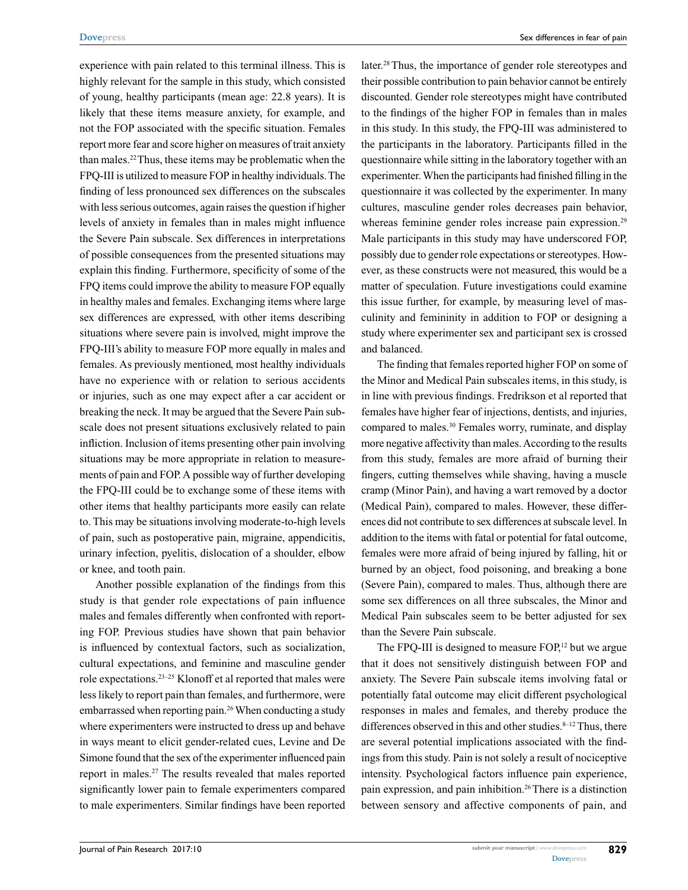experience with pain related to this terminal illness. This is highly relevant for the sample in this study, which consisted of young, healthy participants (mean age: 22.8 years). It is likely that these items measure anxiety, for example, and not the FOP associated with the specific situation. Females report more fear and score higher on measures of trait anxiety than males.22 Thus, these items may be problematic when the FPQ-III is utilized to measure FOP in healthy individuals. The finding of less pronounced sex differences on the subscales with less serious outcomes, again raises the question if higher levels of anxiety in females than in males might influence the Severe Pain subscale. Sex differences in interpretations of possible consequences from the presented situations may explain this finding. Furthermore, specificity of some of the FPQ items could improve the ability to measure FOP equally in healthy males and females. Exchanging items where large sex differences are expressed, with other items describing situations where severe pain is involved, might improve the FPQ-III's ability to measure FOP more equally in males and females. As previously mentioned, most healthy individuals have no experience with or relation to serious accidents or injuries, such as one may expect after a car accident or breaking the neck. It may be argued that the Severe Pain subscale does not present situations exclusively related to pain infliction. Inclusion of items presenting other pain involving situations may be more appropriate in relation to measurements of pain and FOP. A possible way of further developing the FPQ-III could be to exchange some of these items with other items that healthy participants more easily can relate to. This may be situations involving moderate-to-high levels of pain, such as postoperative pain, migraine, appendicitis, urinary infection, pyelitis, dislocation of a shoulder, elbow or knee, and tooth pain.

Another possible explanation of the findings from this study is that gender role expectations of pain influence males and females differently when confronted with reporting FOP. Previous studies have shown that pain behavior is influenced by contextual factors, such as socialization, cultural expectations, and feminine and masculine gender role expectations.23–25 Klonoff et al reported that males were less likely to report pain than females, and furthermore, were embarrassed when reporting pain.<sup>26</sup> When conducting a study where experimenters were instructed to dress up and behave in ways meant to elicit gender-related cues, Levine and De Simone found that the sex of the experimenter influenced pain report in males.27 The results revealed that males reported significantly lower pain to female experimenters compared to male experimenters. Similar findings have been reported

later.<sup>28</sup> Thus, the importance of gender role stereotypes and their possible contribution to pain behavior cannot be entirely discounted. Gender role stereotypes might have contributed to the findings of the higher FOP in females than in males in this study. In this study, the FPQ-III was administered to the participants in the laboratory. Participants filled in the questionnaire while sitting in the laboratory together with an experimenter. When the participants had finished filling in the questionnaire it was collected by the experimenter. In many cultures, masculine gender roles decreases pain behavior, whereas feminine gender roles increase pain expression.<sup>29</sup> Male participants in this study may have underscored FOP, possibly due to gender role expectations or stereotypes. However, as these constructs were not measured, this would be a matter of speculation. Future investigations could examine this issue further, for example, by measuring level of masculinity and femininity in addition to FOP or designing a study where experimenter sex and participant sex is crossed and balanced.

The finding that females reported higher FOP on some of the Minor and Medical Pain subscales items, in this study, is in line with previous findings. Fredrikson et al reported that females have higher fear of injections, dentists, and injuries, compared to males.30 Females worry, ruminate, and display more negative affectivity than males. According to the results from this study, females are more afraid of burning their fingers, cutting themselves while shaving, having a muscle cramp (Minor Pain), and having a wart removed by a doctor (Medical Pain), compared to males. However, these differences did not contribute to sex differences at subscale level. In addition to the items with fatal or potential for fatal outcome, females were more afraid of being injured by falling, hit or burned by an object, food poisoning, and breaking a bone (Severe Pain), compared to males. Thus, although there are some sex differences on all three subscales, the Minor and Medical Pain subscales seem to be better adjusted for sex than the Severe Pain subscale.

The FPQ-III is designed to measure FOP,<sup>12</sup> but we argue that it does not sensitively distinguish between FOP and anxiety. The Severe Pain subscale items involving fatal or potentially fatal outcome may elicit different psychological responses in males and females, and thereby produce the differences observed in this and other studies. $8-12$  Thus, there are several potential implications associated with the findings from this study. Pain is not solely a result of nociceptive intensity. Psychological factors influence pain experience, pain expression, and pain inhibition.26 There is a distinction between sensory and affective components of pain, and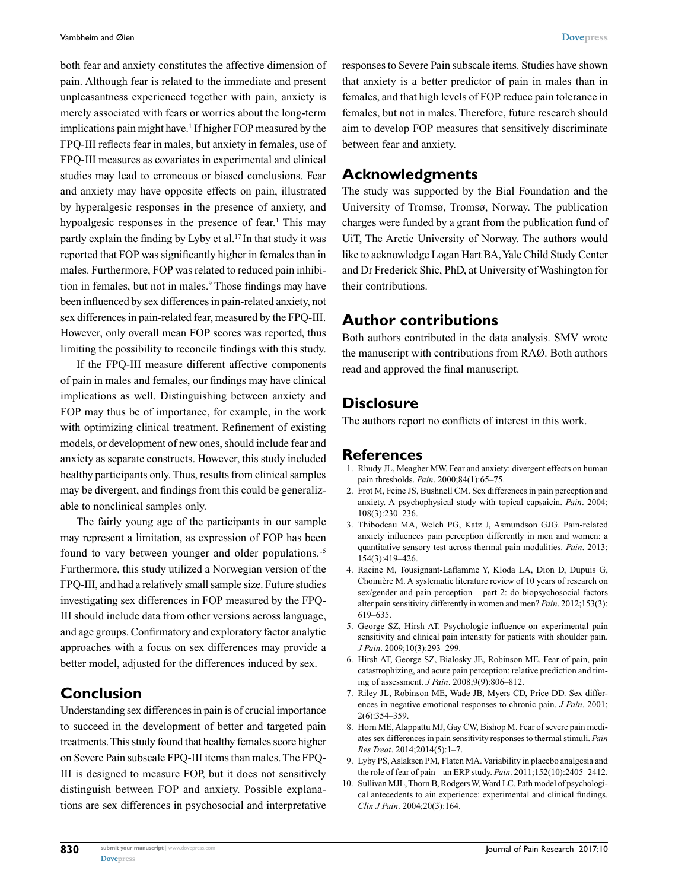both fear and anxiety constitutes the affective dimension of pain. Although fear is related to the immediate and present unpleasantness experienced together with pain, anxiety is merely associated with fears or worries about the long-term implications pain might have.<sup>1</sup> If higher FOP measured by the FPQ-III reflects fear in males, but anxiety in females, use of FPQ-III measures as covariates in experimental and clinical studies may lead to erroneous or biased conclusions. Fear and anxiety may have opposite effects on pain, illustrated by hyperalgesic responses in the presence of anxiety, and hypoalgesic responses in the presence of fear.<sup>1</sup> This may partly explain the finding by Lyby et al.<sup>17</sup> In that study it was reported that FOP was significantly higher in females than in males. Furthermore, FOP was related to reduced pain inhibition in females, but not in males.<sup>9</sup> Those findings may have been influenced by sex differences in pain-related anxiety, not sex differences in pain-related fear, measured by the FPQ-III. However, only overall mean FOP scores was reported, thus limiting the possibility to reconcile findings with this study.

If the FPQ-III measure different affective components of pain in males and females, our findings may have clinical implications as well. Distinguishing between anxiety and FOP may thus be of importance, for example, in the work with optimizing clinical treatment. Refinement of existing models, or development of new ones, should include fear and anxiety as separate constructs. However, this study included healthy participants only. Thus, results from clinical samples may be divergent, and findings from this could be generalizable to nonclinical samples only.

The fairly young age of the participants in our sample may represent a limitation, as expression of FOP has been found to vary between younger and older populations.<sup>15</sup> Furthermore, this study utilized a Norwegian version of the FPQ-III, and had a relatively small sample size. Future studies investigating sex differences in FOP measured by the FPQ-III should include data from other versions across language, and age groups. Confirmatory and exploratory factor analytic approaches with a focus on sex differences may provide a better model, adjusted for the differences induced by sex.

# **Conclusion**

Understanding sex differences in pain is of crucial importance to succeed in the development of better and targeted pain treatments. This study found that healthy females score higher on Severe Pain subscale FPQ-III items than males. The FPQ-III is designed to measure FOP, but it does not sensitively distinguish between FOP and anxiety. Possible explanations are sex differences in psychosocial and interpretative responses to Severe Pain subscale items. Studies have shown that anxiety is a better predictor of pain in males than in females, and that high levels of FOP reduce pain tolerance in females, but not in males. Therefore, future research should aim to develop FOP measures that sensitively discriminate between fear and anxiety.

## **Acknowledgments**

The study was supported by the Bial Foundation and the University of Tromsø, Tromsø, Norway. The publication charges were funded by a grant from the publication fund of UiT, The Arctic University of Norway. The authors would like to acknowledge Logan Hart BA, Yale Child Study Center and Dr Frederick Shic, PhD, at University of Washington for their contributions.

# **Author contributions**

Both authors contributed in the data analysis. SMV wrote the manuscript with contributions from RAØ. Both authors read and approved the final manuscript.

## **Disclosure**

The authors report no conflicts of interest in this work.

## **References**

- 1. Rhudy JL, Meagher MW. Fear and anxiety: divergent effects on human pain thresholds. *Pain*. 2000;84(1):65–75.
- 2. Frot M, Feine JS, Bushnell CM. Sex differences in pain perception and anxiety. A psychophysical study with topical capsaicin. *Pain*. 2004; 108(3):230–236.
- 3. Thibodeau MA, Welch PG, Katz J, Asmundson GJG. Pain-related anxiety influences pain perception differently in men and women: a quantitative sensory test across thermal pain modalities. *Pain*. 2013; 154(3):419–426.
- 4. Racine M, Tousignant-Laflamme Y, Kloda LA, Dion D, Dupuis G, Choinière M. A systematic literature review of 10 years of research on sex/gender and pain perception – part 2: do biopsychosocial factors alter pain sensitivity differently in women and men? *Pain*. 2012;153(3): 619–635.
- 5. George SZ, Hirsh AT. Psychologic influence on experimental pain sensitivity and clinical pain intensity for patients with shoulder pain. *J Pain*. 2009;10(3):293–299.
- 6. Hirsh AT, George SZ, Bialosky JE, Robinson ME. Fear of pain, pain catastrophizing, and acute pain perception: relative prediction and timing of assessment. *J Pain*. 2008;9(9):806–812.
- 7. Riley JL, Robinson ME, Wade JB, Myers CD, Price DD. Sex differences in negative emotional responses to chronic pain. *J Pain*. 2001; 2(6):354–359.
- 8. Horn ME, Alappattu MJ, Gay CW, Bishop M. Fear of severe pain mediates sex differences in pain sensitivity responses to thermal stimuli. *Pain Res Treat*. 2014;2014(5):1–7.
- 9. Lyby PS, Aslaksen PM, Flaten MA. Variability in placebo analgesia and the role of fear of pain – an ERP study. *Pain*. 2011;152(10):2405–2412.
- 10. Sullivan MJL, Thorn B, Rodgers W, Ward LC. Path model of psychological antecedents to ain experience: experimental and clinical findings. *Clin J Pain*. 2004;20(3):164.